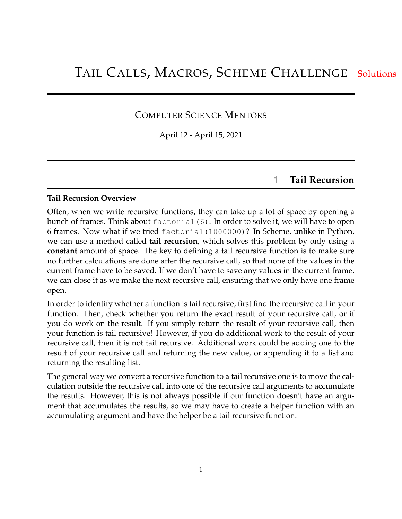### COMPUTER SCIENCE MENTORS

April 12 - April 15, 2021

# **1 Tail Recursion**

### **Tail Recursion Overview**

Often, when we write recursive functions, they can take up a lot of space by opening a bunch of frames. Think about factorial (6). In order to solve it, we will have to open 6 frames. Now what if we tried factorial(1000000)? In Scheme, unlike in Python, we can use a method called **tail recursion**, which solves this problem by only using a **constant** amount of space. The key to defining a tail recursive function is to make sure no further calculations are done after the recursive call, so that none of the values in the current frame have to be saved. If we don't have to save any values in the current frame, we can close it as we make the next recursive call, ensuring that we only have one frame open.

In order to identify whether a function is tail recursive, first find the recursive call in your function. Then, check whether you return the exact result of your recursive call, or if you do work on the result. If you simply return the result of your recursive call, then your function is tail recursive! However, if you do additional work to the result of your recursive call, then it is not tail recursive. Additional work could be adding one to the result of your recursive call and returning the new value, or appending it to a list and returning the resulting list.

The general way we convert a recursive function to a tail recursive one is to move the calculation outside the recursive call into one of the recursive call arguments to accumulate the results. However, this is not always possible if our function doesn't have an argument that accumulates the results, so we may have to create a helper function with an accumulating argument and have the helper be a tail recursive function.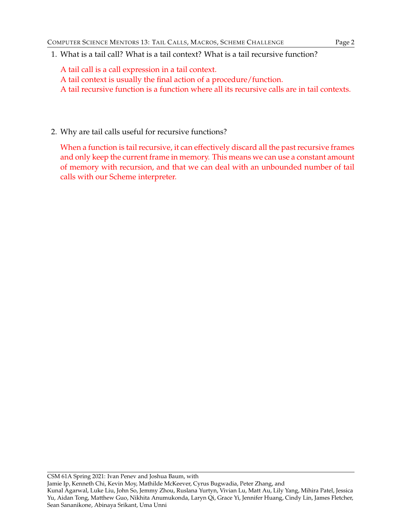1. What is a tail call? What is a tail context? What is a tail recursive function?

A tail call is a call expression in a tail context.

A tail context is usually the final action of a procedure/function.

A tail recursive function is a function where all its recursive calls are in tail contexts.

2. Why are tail calls useful for recursive functions?

When a function is tail recursive, it can effectively discard all the past recursive frames and only keep the current frame in memory. This means we can use a constant amount of memory with recursion, and that we can deal with an unbounded number of tail calls with our Scheme interpreter.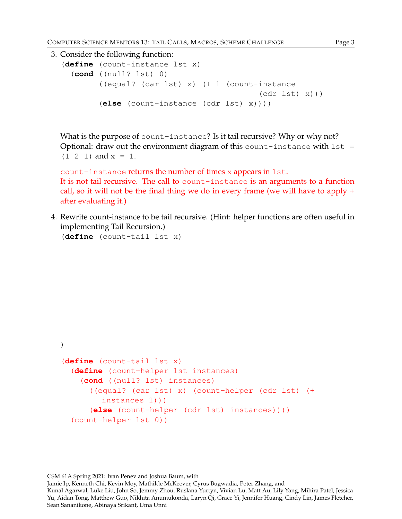```
3. Consider the following function:
  (define (count-instance lst x)
    (cond ((null? lst) 0)
           ((equal? (car lst) x) (+ 1 (count-instance
                                                (cdr lst) x)))
           (else (count-instance (cdr lst) x))))
```
What is the purpose of count-instance? Is it tail recursive? Why or why not? Optional: draw out the environment diagram of this count-instance with  $1st =$  $(1 \t2 \t1)$  and  $x = 1$ .

count-instance returns the number of times x appears in lst. It is not tail recursive. The call to count-instance is an arguments to a function call, so it will not be the final thing we do in every frame (we will have to apply  $+$ after evaluating it.)

4. Rewrite count-instance to be tail recursive. (Hint: helper functions are often useful in implementing Tail Recursion.)

```
(define (count-tail lst x)
```

```
)
(define (count-tail lst x)
  (define (count-helper lst instances)
    (cond ((null? lst) instances)
      ((equal? (car lst) x) (count-helper (cdr lst) (+
         instances 1)))
      (else (count-helper (cdr lst) instances))))
  (count-helper lst 0))
```
#### CSM 61A Spring 2021: Ivan Penev and Joshua Baum, with Jamie Ip, Kenneth Chi, Kevin Moy, Mathilde McKeever, Cyrus Bugwadia, Peter Zhang, and Kunal Agarwal, Luke Liu, John So, Jemmy Zhou, Ruslana Yurtyn, Vivian Lu, Matt Au, Lily Yang, Mihira Patel, Jessica Yu, Aidan Tong, Matthew Guo, Nikhita Anumukonda, Laryn Qi, Grace Yi, Jennifer Huang, Cindy Lin, James Fletcher, Sean Sananikone, Abinaya Srikant, Uma Unni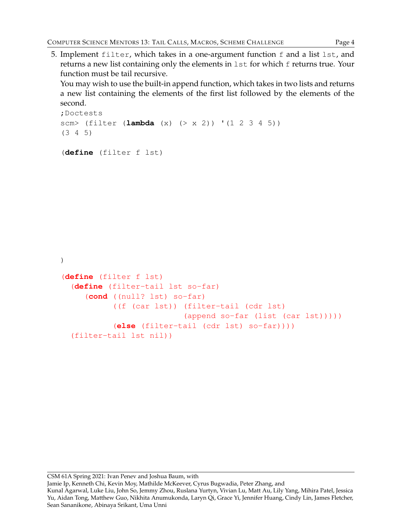5. Implement filter, which takes in a one-argument function f and a list lst, and returns a new list containing only the elements in 1st for which f returns true. Your function must be tail recursive.

You may wish to use the built-in append function, which takes in two lists and returns a new list containing the elements of the first list followed by the elements of the second.

```
;Doctests
scm> (filter (lambda (x) (> x 2)) '(1 2 3 4 5))
(3 4 5)
(define (filter f lst)
)
(define (filter f lst)
  (define (filter-tail lst so-far)
     (cond ((null? lst) so-far)
           ((f (car lst)) (filter-tail (cdr lst)
                           (append so-far (list (car lst)))))
           (else (filter-tail (cdr lst) so-far))))
  (filter-tail lst nil))
```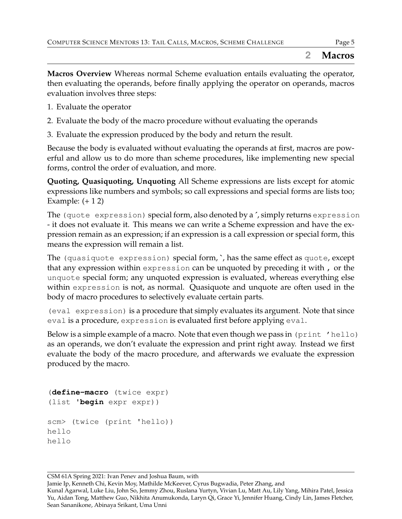**Macros Overview** Whereas normal Scheme evaluation entails evaluating the operator, then evaluating the operands, before finally applying the operator on operands, macros evaluation involves three steps:

- 1. Evaluate the operator
- 2. Evaluate the body of the macro procedure without evaluating the operands
- 3. Evaluate the expression produced by the body and return the result.

Because the body is evaluated without evaluating the operands at first, macros are powerful and allow us to do more than scheme procedures, like implementing new special forms, control the order of evaluation, and more.

**Quoting, Quasiquoting, Unquoting** All Scheme expressions are lists except for atomic expressions like numbers and symbols; so call expressions and special forms are lists too; Example:  $(+ 12)$ 

The (quote expression) special form, also denoted by a **´**, simply returns expression - it does not evaluate it. This means we can write a Scheme expression and have the expression remain as an expression; if an expression is a call expression or special form, this means the expression will remain a list.

The (quasiquote expression) special form, **`**, has the same effect as quote, except that any expression within expression can be unquoted by preceding it with , or the unquote special form; any unquoted expression is evaluated, whereas everything else within expression is not, as normal. Quasiquote and unquote are often used in the body of macro procedures to selectively evaluate certain parts.

(eval expression) is a procedure that simply evaluates its argument. Note that since eval is a procedure, expression is evaluated first before applying eval.

Below is a simple example of a macro. Note that even though we pass in (print 'hello) as an operands, we don't evaluate the expression and print right away. Instead we first evaluate the body of the macro procedure, and afterwards we evaluate the expression produced by the macro.

```
(define-macro (twice expr)
(list 'begin expr expr))
scm> (twice (print 'hello))
hello
hello
```
CSM 61A Spring 2021: Ivan Penev and Joshua Baum, with Jamie Ip, Kenneth Chi, Kevin Moy, Mathilde McKeever, Cyrus Bugwadia, Peter Zhang, and Kunal Agarwal, Luke Liu, John So, Jemmy Zhou, Ruslana Yurtyn, Vivian Lu, Matt Au, Lily Yang, Mihira Patel, Jessica Yu, Aidan Tong, Matthew Guo, Nikhita Anumukonda, Laryn Qi, Grace Yi, Jennifer Huang, Cindy Lin, James Fletcher, Sean Sananikone, Abinaya Srikant, Uma Unni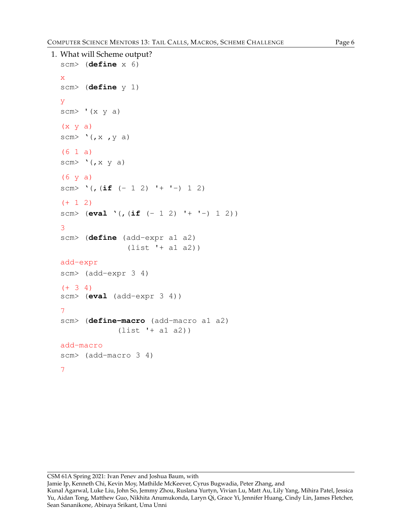```
1. What will Scheme output?
  scm> (define x 6)
  x
  scm> (define y 1)
  y
  scm> '(x \ y \ a)(x \ y \ a)scm> '(,x, y, a)(6 1 a)
  scm> '(, x y a)(6 y a)
  scm> '(, (if (-1 2) ' + ' -) 1 2)(+ 1 2)scm> (eval '(,(if (- 1 2) '+ '-) 1 2))
  3
  scm> (define (add-expr a1 a2)
                 (list '+ a1 a2))
  add-expr
  scm> (add-expr 3 4)
  (+ 3 4)scm> (eval (add-expr 3 4))
  7
  scm> (define-macro (add-macro a1 a2)
               (list '+ a1 a2))
  add-macro
  scm> (add-macro 3 4)
  7
```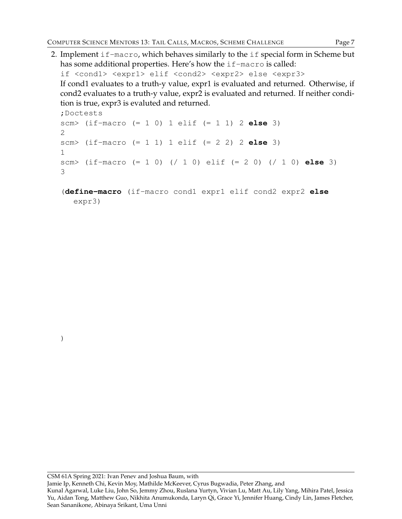2. Implement if-macro, which behaves similarly to the if special form in Scheme but has some additional properties. Here's how the if-macro is called:

if <cond1> <expr1> elif <cond2> <expr2> else <expr3> If cond1 evaluates to a truth-y value, expr1 is evaluated and returned. Otherwise, if cond2 evaluates to a truth-y value, expr2 is evaluated and returned. If neither condition is true, expr3 is evaluted and returned.

```
;Doctests
scm> (if-macro (= 1 0) 1 elif (= 1 1) 2 else 3)
2
scm> (if-macro (= 1 1) 1 elif (= 2 2) 2 else 3)
1
scm> (if-macro (= 1 0) (/ 1 0) elif (= 2 0) (/ 1 0) else 3)
3
```

```
(define-macro (if-macro cond1 expr1 elif cond2 expr2 else
  expr3)
```
)

#### CSM 61A Spring 2021: Ivan Penev and Joshua Baum, with Jamie Ip, Kenneth Chi, Kevin Moy, Mathilde McKeever, Cyrus Bugwadia, Peter Zhang, and Kunal Agarwal, Luke Liu, John So, Jemmy Zhou, Ruslana Yurtyn, Vivian Lu, Matt Au, Lily Yang, Mihira Patel, Jessica Yu, Aidan Tong, Matthew Guo, Nikhita Anumukonda, Laryn Qi, Grace Yi, Jennifer Huang, Cindy Lin, James Fletcher, Sean Sananikone, Abinaya Srikant, Uma Unni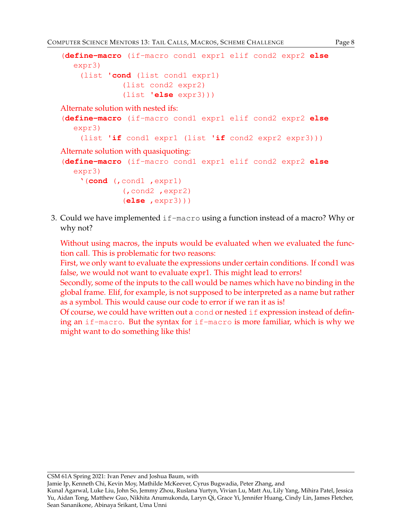```
(define-macro (if-macro cond1 expr1 elif cond2 expr2 else
   expr3)
    (list 'cond (list cond1 expr1)
              (list cond2 expr2)
              (list 'else expr3)))
Alternate solution with nested ifs:
(define-macro (if-macro cond1 expr1 elif cond2 expr2 else
   expr3)
    (list 'if cond1 expr1 (list 'if cond2 expr2 expr3)))
Alternate solution with quasiquoting:
(define-macro (if-macro cond1 expr1 elif cond2 expr2 else
   expr3)
    '(cond (,cond1 ,expr1)
              (,cond2 ,expr2)
              (else ,expr3)))
```
3. Could we have implemented if-macro using a function instead of a macro? Why or why not?

Without using macros, the inputs would be evaluated when we evaluated the function call. This is problematic for two reasons:

First, we only want to evaluate the expressions under certain conditions. If cond1 was false, we would not want to evaluate expr1. This might lead to errors!

Secondly, some of the inputs to the call would be names which have no binding in the global frame. Elif, for example, is not supposed to be interpreted as a name but rather as a symbol. This would cause our code to error if we ran it as is!

Of course, we could have written out a cond or nested  $\exists$  f expression instead of defining an if-macro. But the syntax for if-macro is more familiar, which is why we might want to do something like this!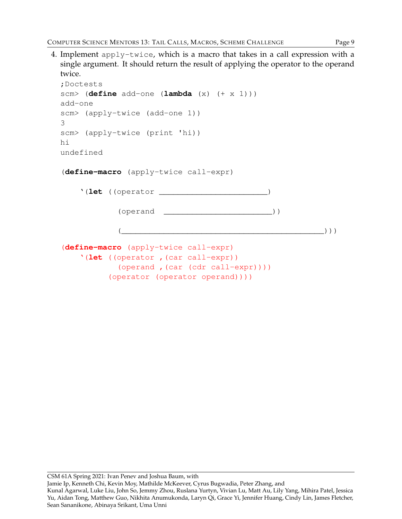4. Implement apply-twice, which is a macro that takes in a call expression with a single argument. It should return the result of applying the operator to the operand twice. ;Doctests scm> (**define** add-one (**lambda** (x) (+ x 1))) add-one scm> (apply-twice (add-one 1)) 3 scm> (apply-twice (print 'hi)) hi undefined (**define-macro** (apply-twice call-expr) '(**let** ((operator \_\_\_\_\_\_\_\_\_\_\_\_\_\_\_\_\_\_\_\_\_\_\_) (operand \_\_\_\_\_\_\_\_\_\_\_\_\_\_\_\_\_\_\_\_\_\_\_\_))  $\left(\begin{array}{ccc} \begin{pmatrix} 0 & 0 & 0 \\ 0 & 0 & 0 \\ 0 & 0 & 0 \\ 0 & 0 & 0 \\ 0 & 0 & 0 \\ 0 & 0 & 0 \\ 0 & 0 & 0 \\ 0 & 0 & 0 \\ 0 & 0 & 0 \\ 0 & 0 & 0 \\ 0 & 0 & 0 \\ 0 & 0 & 0 \\ 0 & 0 & 0 \\ 0 & 0 & 0 \\ 0 & 0 & 0 \\ 0 & 0 & 0 \\ 0 & 0 & 0 \\ 0 & 0 & 0 & 0 \\ 0 & 0 & 0 & 0 \\ 0 & 0 & 0 & 0 \\ 0 & 0 & 0 & 0 \\ 0 &$ 

```
(define-macro (apply-twice call-expr)
    '(let ((operator ,(car call-expr))
            (operand ,(car (cdr call-expr))))
          (operator (operator operand))))
```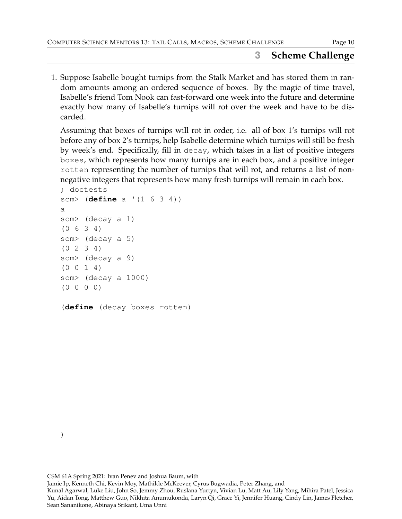# **3 Scheme Challenge**

1. Suppose Isabelle bought turnips from the Stalk Market and has stored them in random amounts among an ordered sequence of boxes. By the magic of time travel, Isabelle's friend Tom Nook can fast-forward one week into the future and determine exactly how many of Isabelle's turnips will rot over the week and have to be discarded.

Assuming that boxes of turnips will rot in order, i.e. all of box 1's turnips will rot before any of box 2's turnips, help Isabelle determine which turnips will still be fresh by week's end. Specifically, fill in decay, which takes in a list of positive integers boxes, which represents how many turnips are in each box, and a positive integer rotten representing the number of turnips that will rot, and returns a list of nonnegative integers that represents how many fresh turnips will remain in each box.

```
; doctests
scm> (define a '(1 6 3 4))
a
scm> (decay a 1)
(0 6 3 4)
scm> (decay a 5)
(0 2 3 4)
scm> (decay a 9)
(0 0 1 4)
scm> (decay a 1000)
(0 0 0 0)
```
(**define** (decay boxes rotten)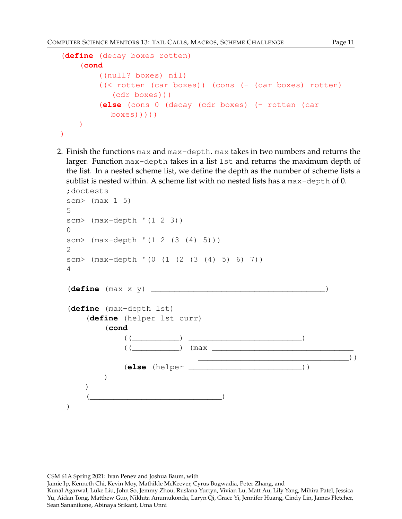)

```
(define (decay boxes rotten)
    (cond
        ((null? boxes) nil)
        ((< rotten (car boxes)) (cons (- (car boxes) rotten)
           (cdr boxes)))
        (else (cons 0 (decay (cdr boxes) (- rotten (car
          boxes)))))
   )
```
2. Finish the functions max and max-depth. max takes in two numbers and returns the larger. Function max-depth takes in a list lst and returns the maximum depth of the list. In a nested scheme list, we define the depth as the number of scheme lists a sublist is nested within. A scheme list with no nested lists has a max-depth of 0.

```
;doctests
scm> (max 1 5)
5
scm> (max-depth '(1 2 3))
\Omegascm> (max-depth '(1 2 (3 (4) 5)))
2
scm> (max-depth '(0 (1 (2 (3 (4) 5) 6) 7))
4
(define (max x y) _____________________________________)
(define (max-depth lst)
    (define (helper lst curr)
         (cond
              ( (  ) ) ) ) ) )(( \qquad \qquad \qquad \qquad ) (max \qquad \qquad \qquad \qquad________________________________))
              (else (helper ________________________))
         )
    \lambda\qquad \qquad ))
```
CSM 61A Spring 2021: Ivan Penev and Joshua Baum, with

Jamie Ip, Kenneth Chi, Kevin Moy, Mathilde McKeever, Cyrus Bugwadia, Peter Zhang, and

Kunal Agarwal, Luke Liu, John So, Jemmy Zhou, Ruslana Yurtyn, Vivian Lu, Matt Au, Lily Yang, Mihira Patel, Jessica Yu, Aidan Tong, Matthew Guo, Nikhita Anumukonda, Laryn Qi, Grace Yi, Jennifer Huang, Cindy Lin, James Fletcher, Sean Sananikone, Abinaya Srikant, Uma Unni